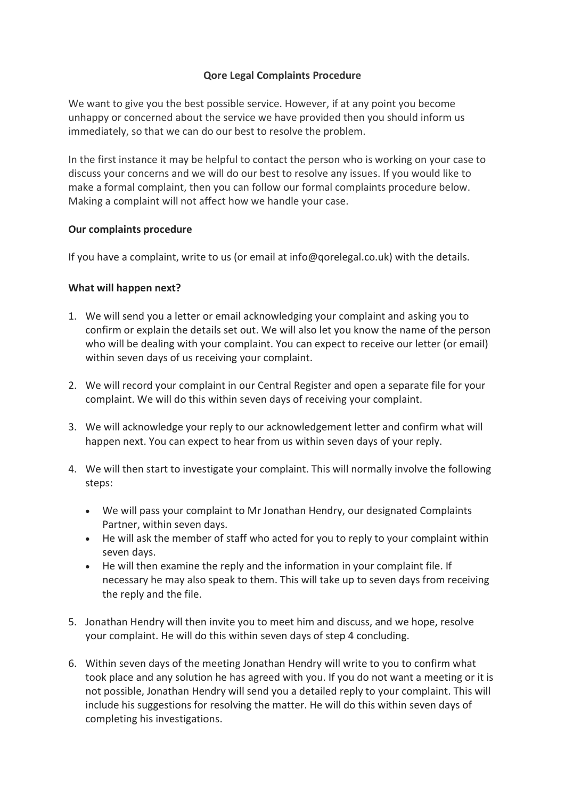# Qore Legal Complaints Procedure

We want to give you the best possible service. However, if at any point you become unhappy or concerned about the service we have provided then you should inform us immediately, so that we can do our best to resolve the problem.

In the first instance it may be helpful to contact the person who is working on your case to discuss your concerns and we will do our best to resolve any issues. If you would like to make a formal complaint, then you can follow our formal complaints procedure below. Making a complaint will not affect how we handle your case.

## Our complaints procedure

If you have a complaint, write to us (or email at info@qorelegal.co.uk) with the details.

## What will happen next?

- 1. We will send you a letter or email acknowledging your complaint and asking you to confirm or explain the details set out. We will also let you know the name of the person who will be dealing with your complaint. You can expect to receive our letter (or email) within seven days of us receiving your complaint.
- 2. We will record your complaint in our Central Register and open a separate file for your complaint. We will do this within seven days of receiving your complaint.
- 3. We will acknowledge your reply to our acknowledgement letter and confirm what will happen next. You can expect to hear from us within seven days of your reply.
- 4. We will then start to investigate your complaint. This will normally involve the following steps:
	- We will pass your complaint to Mr Jonathan Hendry, our designated Complaints Partner, within seven days.
	- He will ask the member of staff who acted for you to reply to your complaint within seven days.
	- He will then examine the reply and the information in your complaint file. If necessary he may also speak to them. This will take up to seven days from receiving the reply and the file.
- 5. Jonathan Hendry will then invite you to meet him and discuss, and we hope, resolve your complaint. He will do this within seven days of step 4 concluding.
- 6. Within seven days of the meeting Jonathan Hendry will write to you to confirm what took place and any solution he has agreed with you. If you do not want a meeting or it is not possible, Jonathan Hendry will send you a detailed reply to your complaint. This will include his suggestions for resolving the matter. He will do this within seven days of completing his investigations.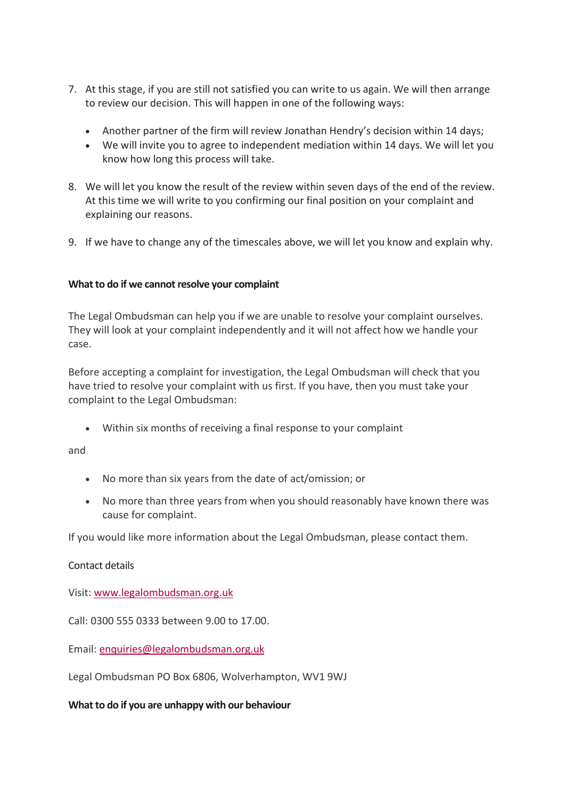- 7. At this stage, if you are still not satisfied you can write to us again. We will then arrange to review our decision. This will happen in one of the following ways:
	- Another partner of the firm will review Jonathan Hendry's decision within 14 days;
	- We will invite you to agree to independent mediation within 14 days. We will let you know how long this process will take.
- 8. We will let you know the result of the review within seven days of the end of the review. At this time we will write to you confirming our final position on your complaint and explaining our reasons.
- 9. If we have to change any of the timescales above, we will let you know and explain why.

## What to do if we cannot resolve your complaint

The Legal Ombudsman can help you if we are unable to resolve your complaint ourselves. They will look at your complaint independently and it will not affect how we handle your case.

Before accepting a complaint for investigation, the Legal Ombudsman will check that you have tried to resolve your complaint with us first. If you have, then you must take your complaint to the Legal Ombudsman:

Within six months of receiving a final response to your complaint

and

- No more than six years from the date of act/omission; or
- No more than three years from when you should reasonably have known there was cause for complaint.

If you would like more information about the Legal Ombudsman, please contact them.

### Contact details

Visit: www.legalombudsman.org.uk

Call: 0300 555 0333 between 9.00 to 17.00.

Email: enquiries@legalombudsman.org.uk

Legal Ombudsman PO Box 6806, Wolverhampton, WV1 9WJ

### What to do if you are unhappy with our behaviour